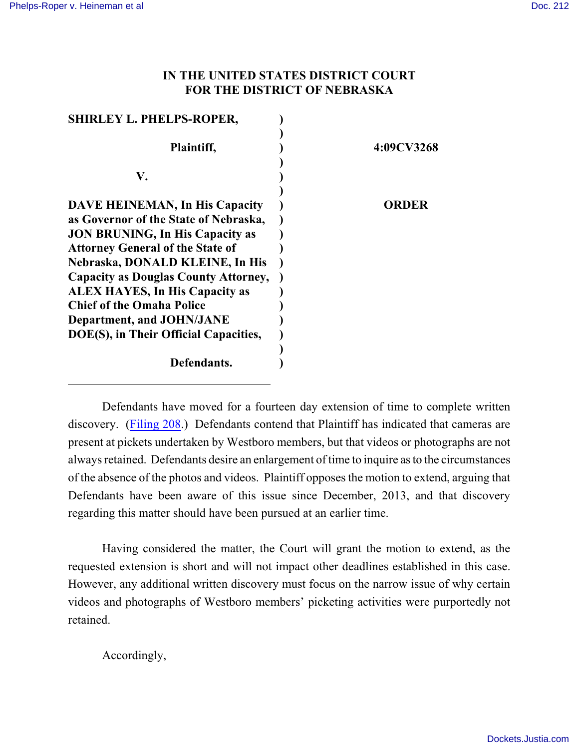## **IN THE UNITED STATES DISTRICT COURT FOR THE DISTRICT OF NEBRASKA**

| <b>SHIRLEY L. PHELPS-ROPER,</b>             |            |
|---------------------------------------------|------------|
|                                             |            |
| Plaintiff,                                  | 4:09CV3268 |
|                                             |            |
| V.                                          |            |
|                                             |            |
| <b>DAVE HEINEMAN, In His Capacity</b>       | ORDER      |
| as Governor of the State of Nebraska,       |            |
| <b>JON BRUNING, In His Capacity as</b>      |            |
| <b>Attorney General of the State of</b>     |            |
| Nebraska, DONALD KLEINE, In His             |            |
| <b>Capacity as Douglas County Attorney,</b> |            |
| <b>ALEX HAYES, In His Capacity as</b>       |            |
| <b>Chief of the Omaha Police</b>            |            |
| Department, and JOHN/JANE                   |            |
| DOE(S), in Their Official Capacities,       |            |
|                                             |            |
| Defendants.                                 |            |
|                                             |            |

Defendants have moved for a fourteen day extension of time to complete written discovery. [\(Filing 208](https://ecf.ned.uscourts.gov/doc1/11312971361).) Defendants contend that Plaintiff has indicated that cameras are present at pickets undertaken by Westboro members, but that videos or photographs are not always retained. Defendants desire an enlargement of time to inquire as to the circumstances of the absence of the photos and videos. Plaintiff opposes the motion to extend, arguing that Defendants have been aware of this issue since December, 2013, and that discovery regarding this matter should have been pursued at an earlier time.

Having considered the matter, the Court will grant the motion to extend, as the requested extension is short and will not impact other deadlines established in this case. However, any additional written discovery must focus on the narrow issue of why certain videos and photographs of Westboro members' picketing activities were purportedly not retained.

Accordingly,